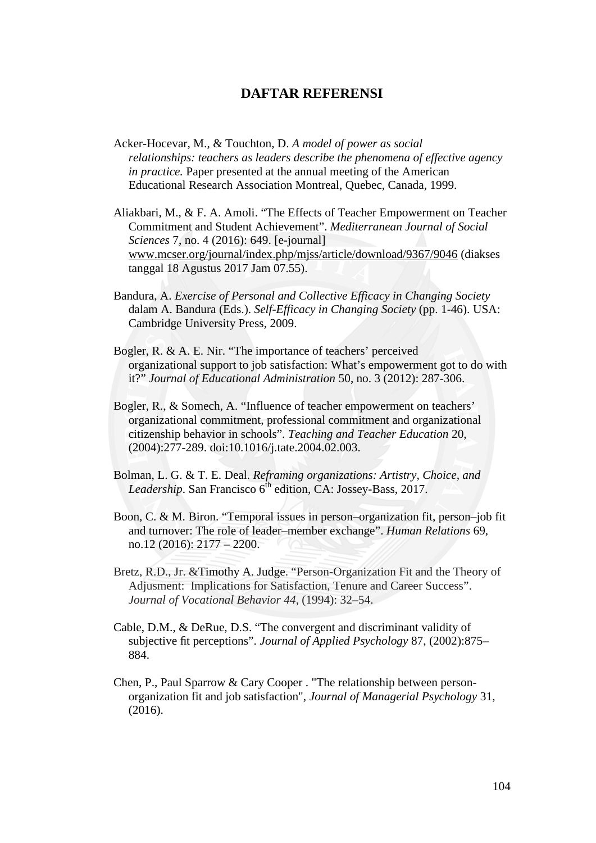## **DAFTAR REFERENSI**

- Acker-Hocevar, M., & Touchton, D. *A model of power as social relationships: teachers as leaders describe the phenomena of effective agency in practice.* Paper presented at the annual meeting of the American Educational Research Association Montreal, Quebec, Canada, 1999.
- Aliakbari, M., & F. A. Amoli. "The Effects of Teacher Empowerment on Teacher Commitment and Student Achievement". *Mediterranean Journal of Social Sciences* 7, no. 4 (2016): 649. [e-journal] www.mcser.org/journal/index.php/mjss/article/download/9367/9046 (diakses tanggal 18 Agustus 2017 Jam 07.55).
- Bandura, A. *Exercise of Personal and Collective Efficacy in Changing Society* dalam A. Bandura (Eds.). *Self-Efficacy in Changing Society* (pp. 1-46). USA: Cambridge University Press, 2009.
- Bogler, R. & A. E. Nir. "The importance of teachers' perceived organizational support to job satisfaction: What's empowerment got to do with it?" *Journal of Educational Administration* 50, no. 3 (2012): 287-306.
- Bogler, R., & Somech, A. "Influence of teacher empowerment on teachers' organizational commitment, professional commitment and organizational citizenship behavior in schools". *Teaching and Teacher Education* 20, (2004):277-289. doi:10.1016/j.tate.2004.02.003.
- Bolman, L. G. & T. E. Deal. *Reframing organizations: Artistry, Choice, and* Leadership. San Francisco 6<sup>th</sup> edition, CA: Jossey-Bass, 2017.
- Boon, C. & M. Biron. "Temporal issues in person–organization fit, person–job fit and turnover: The role of leader–member exchange". *Human Relations* 69*,* no.12 (2016): 2177 – 2200.
- Bretz, R.D., Jr. &Timothy A. Judge. "Person-Organization Fit and the Theory of Adjusment: Implications for Satisfaction, Tenure and Career Success". *Journal of Vocational Behavior 44*, (1994): 32–54.
- Cable, D.M., & DeRue, D.S. "The convergent and discriminant validity of subjective fit perceptions". *Journal of Applied Psychology* 87, (2002):875– 884.
- Chen, P., Paul Sparrow & Cary Cooper . "The relationship between person organization fit and job satisfaction", *Journal of Managerial Psychology* 31, (2016).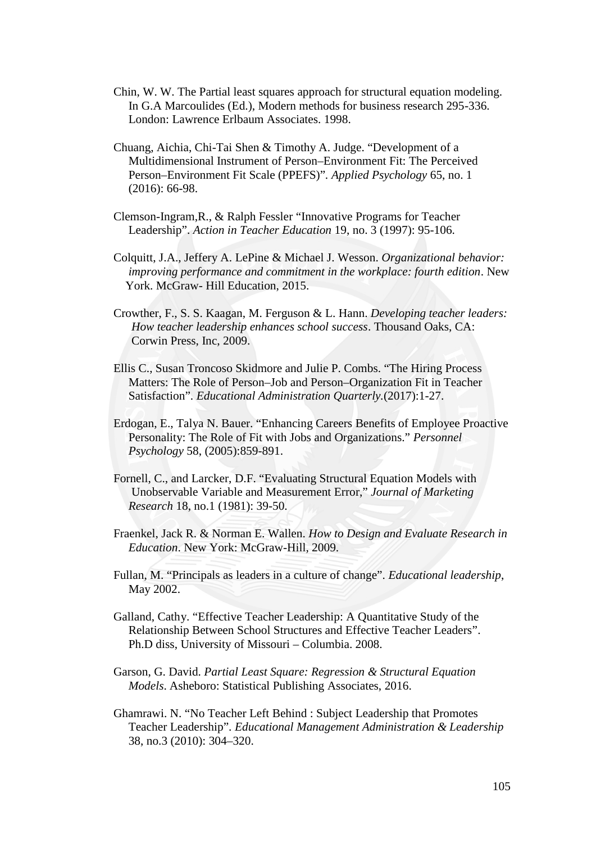- Chin, W. W. The Partial least squares approach for structural equation modeling. In G.A Marcoulides (Ed.), Modern methods for business research 295-336. London: Lawrence Erlbaum Associates. 1998.
- Chuang, Aichia, Chi-Tai Shen & Timothy A. Judge. "Development of a Multidimensional Instrument of Person–Environment Fit: The Perceived Person–Environment Fit Scale (PPEFS)"*. Applied Psychology* 65, no. 1 (2016): 66-98.
- Clemson-Ingram,R., & Ralph Fessler "Innovative Programs for Teacher Leadership". *Action in Teacher Education* 19, no. 3 (1997): 95-106.
- Colquitt, J.A., Jeffery A. LePine & Michael J. Wesson. *Organizational behavior: improving performance and commitment in the workplace: fourth edition*. New York. McGraw- Hill Education, 2015.
- Crowther, F., S. S. Kaagan, M. Ferguson & L. Hann. *Developing teacher leaders: How teacher leadership enhances school success*. Thousand Oaks, CA: Corwin Press, Inc, 2009.
- Ellis C., Susan Troncoso Skidmore and Julie P. Combs. "The Hiring Process Matters: The Role of Person–Job and Person–Organization Fit in Teacher Satisfaction". *Educational Administration Quarterly.*(2017):1-27.
- Erdogan, E., Talya N. Bauer. "Enhancing Careers Benefits of Employee Proactive Personality: The Role of Fit with Jobs and Organizations." *Personnel Psychology* 58, (2005):859-891.
- Fornell, C., and Larcker, D.F. "Evaluating Structural Equation Models with Unobservable Variable and Measurement Error," *Journal of Marketing Research* 18, no.1 (1981): 39-50.
- Fraenkel, Jack R. & Norman E. Wallen. *How to Design and Evaluate Research in Education*. New York: McGraw-Hill, 2009.
- Fullan, M. "Principals as leaders in a culture of change". *Educational leadership*, May 2002.
- Galland, Cathy. "Effective Teacher Leadership: A Quantitative Study of the Relationship Between School Structures and Effective Teacher Leaders". Ph.D diss, University of Missouri – Columbia. 2008.
- Garson, G. David. *Partial Least Square: Regression & Structural Equation Models*. Asheboro: Statistical Publishing Associates, 2016.
- Ghamrawi. N. "No Teacher Left Behind : Subject Leadership that Promotes Teacher Leadership". *Educational Management Administration & Leadership* 38, no.3 (2010): 304–320.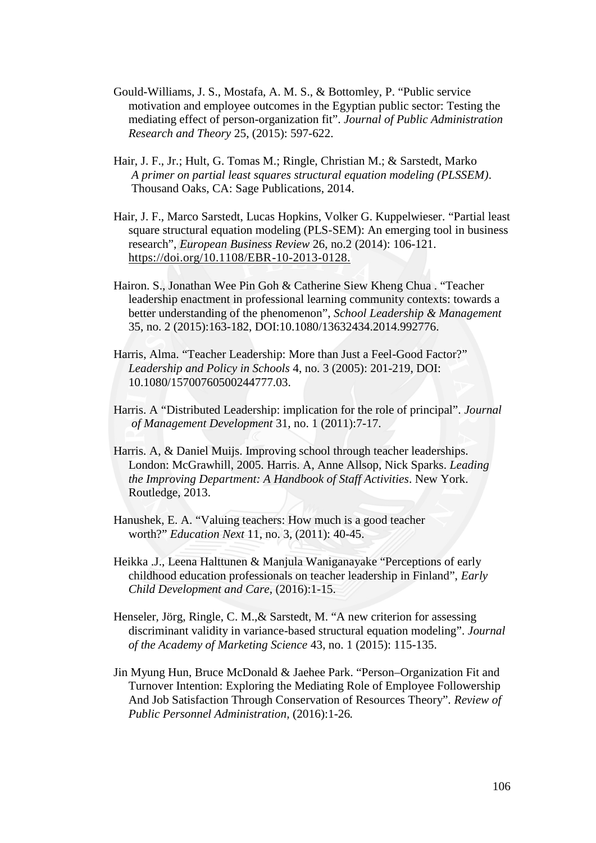- Gould-Williams, J. S., Mostafa, A. M. S., & Bottomley, P. "Public service motivation and employee outcomes in the Egyptian public sector: Testing the mediating effect of person-organization fit". *Journal of Public Administration Research and Theory* 25, (2015): 597-622.
- Hair, J. F., Jr.; Hult, G. Tomas M.; Ringle, Christian M.; & Sarstedt, Marko *A primer on partial least squares structural equation modeling (PLSSEM)*. Thousand Oaks, CA: Sage Publications, 2014.
- Hair, J. F., Marco Sarstedt, Lucas Hopkins, Volker G. Kuppelwieser. "Partial least square structural equation modeling (PLS-SEM): An emerging tool in business research", *European Business Review* 26, no.2 (2014): 106-121. https://doi.org/10.1108/EBR-10-2013-0128.
- Hairon. S., Jonathan Wee Pin Goh & Catherine Siew Kheng Chua . "Teacher leadership enactment in professional learning community contexts: towards a better understanding of the phenomenon", *School Leadership & Management* 35, no. 2 (2015):163-182, DOI:10.1080/13632434.2014.992776.
- Harris, Alma. "Teacher Leadership: More than Just a Feel-Good Factor?" *Leadership and Policy in Schools* 4, no. 3 (2005): 201-219, DOI: 10.1080/15700760500244777.03.
- Harris. A "Distributed Leadership: implication for the role of principal". *Journal of Management Development* 31, no. 1 (2011):7-17.
- Harris. A, & Daniel Muijs. Improving school through teacher leaderships. London: McGrawhill, 2005. Harris. A, Anne Allsop, Nick Sparks. *Leading the Improving Department: A Handbook of Staff Activities*. New York. Routledge, 2013.
- Hanushek, E. A. "Valuing teachers: How much is a good teacher worth?" *Education Next* 11, no. 3, (2011): 40-45.
- Heikka .J., Leena Halttunen & Manjula Waniganayake "Perceptions of early childhood education professionals on teacher leadership in Finland", *Early Child Development and Care*, (2016):1-15.
- Henseler, Jörg, Ringle, C. M.,& Sarstedt, M. "A new criterion for assessing discriminant validity in variance-based structural equation modeling". *Journal of the Academy of Marketing Science* 43, no. 1 (2015): 115-135.
- Jin Myung Hun, Bruce McDonald & Jaehee Park. "Person–Organization Fit and Turnover Intention: Exploring the Mediating Role of Employee Followership And Job Satisfaction Through Conservation of Resources Theory". *Review of Public Personnel Administration,* (2016):1-26*.*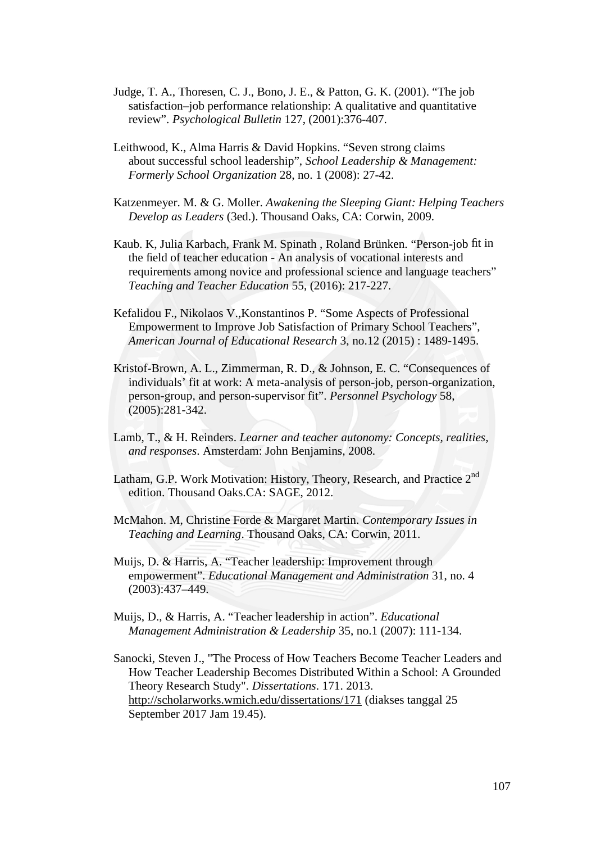- Judge, T. A., Thoresen, C. J., Bono, J. E., & Patton, G. K. (2001). "The job satisfaction–job performance relationship: A qualitative and quantitative review". *Psychological Bulletin* 127, (2001):376-407.
- Leithwood, K., Alma Harris & David Hopkins. "Seven strong claims about successful school leadership", *School Leadership & Management: Formerly School Organization* 28*,* no. 1 (2008): 27-42.
- Katzenmeyer. M. & G. Moller. *Awakening the Sleeping Giant: Helping Teachers Develop as Leaders* (3ed.). Thousand Oaks, CA: Corwin, 2009.
- Kaub. K, Julia Karbach, Frank M. Spinath , Roland Brünken. "Person-job fit in the field of teacher education - An analysis of vocational interests and requirements among novice and professional science and language teachers" *Teaching and Teacher Education* 55, (2016): 217-227.
- Kefalidou F., Nikolaos V.,Konstantinos P. "Some Aspects of Professional Empowerment to Improve Job Satisfaction of Primary School Teachers", *American Journal of Educational Research* 3, no.12 (2015) : 1489-1495.
- Kristof-Brown, A. L., Zimmerman, R. D., & Johnson, E. C. "Consequences of individuals' fit at work: A meta-analysis of person-job, person-organization, person-group, and person-supervisor fit". *Personnel Psychology* 58, (2005):281-342.
- Lamb, T., & H. Reinders. *Learner and teacher autonomy: Concepts, realities, and responses*. Amsterdam: John Benjamins, 2008.
- Latham, G.P. Work Motivation: History, Theory, Research, and Practice 2<sup>nd</sup> edition. Thousand Oaks.CA: SAGE, 2012.
- McMahon. M, Christine Forde & Margaret Martin. *Contemporary Issues in Teaching and Learning*. Thousand Oaks, CA: Corwin, 2011.
- Muijs, D. & Harris, A. "Teacher leadership: Improvement through empowerment". *Educational Management and Administration* 31, no. 4 (2003):437–449.
- Muijs, D., & Harris, A. "Teacher leadership in action". *Educational Management Administration & Leadership* 35, no.1 (2007): 111-134.
- Sanocki, Steven J., "The Process of How Teachers Become Teacher Leaders and How Teacher Leadership Becomes Distributed Within a School: A Grounded Theory Research Study". *Dissertations*. 171. 2013. http://scholarworks.wmich.edu/dissertations/171 (diakses tanggal 25 September 2017 Jam 19.45).